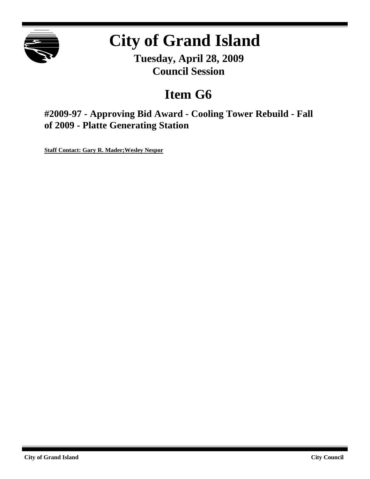

# **City of Grand Island**

**Tuesday, April 28, 2009 Council Session**

## **Item G6**

**#2009-97 - Approving Bid Award - Cooling Tower Rebuild - Fall of 2009 - Platte Generating Station**

**Staff Contact: Gary R. Mader;Wesley Nespor**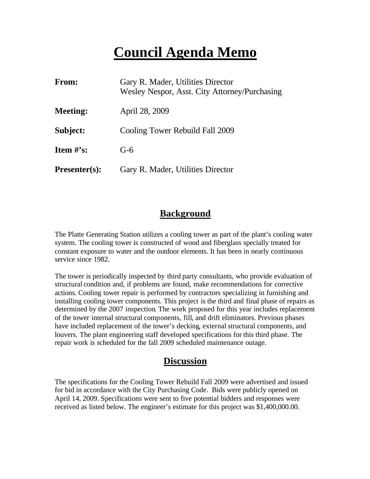## **Council Agenda Memo**

| From:                | Gary R. Mader, Utilities Director<br>Wesley Nespor, Asst. City Attorney/Purchasing |
|----------------------|------------------------------------------------------------------------------------|
| <b>Meeting:</b>      | April 28, 2009                                                                     |
| Subject:             | Cooling Tower Rebuild Fall 2009                                                    |
| <b>Item</b> $\#$ 's: | $G-6$                                                                              |
| $Presenter(s):$      | Gary R. Mader, Utilities Director                                                  |

### **Background**

The Platte Generating Station utilizes a cooling tower as part of the plant's cooling water system. The cooling tower is constructed of wood and fiberglass specially treated for constant exposure to water and the outdoor elements. It has been in nearly continuous service since 1982.

The tower is periodically inspected by third party consultants, who provide evaluation of structural condition and, if problems are found, make recommendations for corrective actions. Cooling tower repair is performed by contractors specializing in furnishing and installing cooling tower components. This project is the third and final phase of repairs as determined by the 2007 inspection. The work proposed for this year includes replacement of the tower internal structural components, fill, and drift eliminators. Previous phases have included replacement of the tower's decking, external structural components, and louvers. The plant engineering staff developed specifications for this third phase. The repair work is scheduled for the fall 2009 scheduled maintenance outage.

### **Discussion**

The specifications for the Cooling Tower Rebuild Fall 2009 were advertised and issued for bid in accordance with the City Purchasing Code. Bids were publicly opened on April 14, 2009. Specifications were sent to five potential bidders and responses were received as listed below. The engineer's estimate for this project was \$1,400,000.00.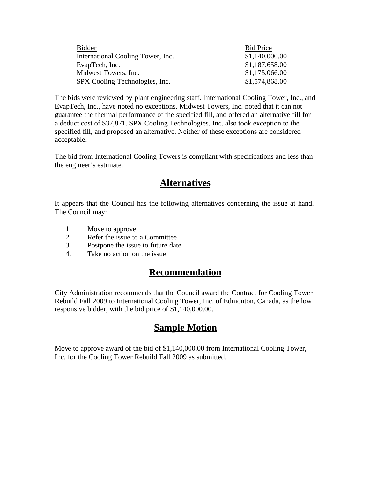| Bidder                            | <b>Bid Price</b> |
|-----------------------------------|------------------|
| International Cooling Tower, Inc. | \$1,140,000.00   |
| EvapTech, Inc.                    | \$1,187,658.00   |
| Midwest Towers, Inc.              | \$1,175,066.00   |
| SPX Cooling Technologies, Inc.    | \$1,574,868.00   |

The bids were reviewed by plant engineering staff. International Cooling Tower, Inc., and EvapTech, Inc., have noted no exceptions. Midwest Towers, Inc. noted that it can not guarantee the thermal performance of the specified fill, and offered an alternative fill for a deduct cost of \$37,871. SPX Cooling Technologies, Inc. also took exception to the specified fill, and proposed an alternative. Neither of these exceptions are considered acceptable.

The bid from International Cooling Towers is compliant with specifications and less than the engineer's estimate.

## **Alternatives**

It appears that the Council has the following alternatives concerning the issue at hand. The Council may:

- 1. Move to approve
- 2. Refer the issue to a Committee
- 3. Postpone the issue to future date
- 4. Take no action on the issue

### **Recommendation**

City Administration recommends that the Council award the Contract for Cooling Tower Rebuild Fall 2009 to International Cooling Tower, Inc. of Edmonton, Canada, as the low responsive bidder, with the bid price of \$1,140,000.00.

## **Sample Motion**

Move to approve award of the bid of \$1,140,000.00 from International Cooling Tower, Inc. for the Cooling Tower Rebuild Fall 2009 as submitted.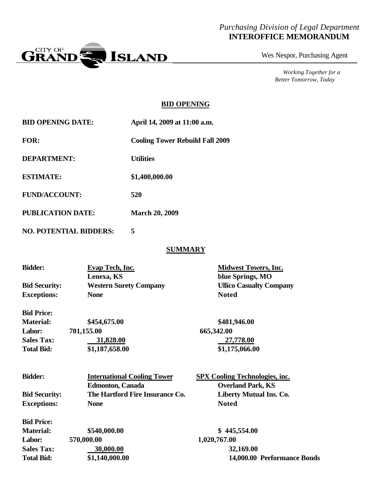#### *Purchasing Division of Legal Department* **INTEROFFICE MEMORANDUM**



Wes Nespor, Purchasing Agent

*Working Together for a Better Tomorrow, Today*

#### **BID OPENING**

| <b>BID OPENING DATE:</b> | April 14, 2009 at 11:00 a.m.           |
|--------------------------|----------------------------------------|
| <b>FOR:</b>              | <b>Cooling Tower Rebuild Fall 2009</b> |
| DEPARTMENT:              | <b>Utilities</b>                       |
| <b>ESTIMATE:</b>         | \$1,400,000.00                         |
| <b>FUND/ACCOUNT:</b>     | 520                                    |
| PUBLICATION DATE:        | <b>March 20, 2009</b>                  |

**NO. POTENTIAL BIDDERS: 5**

#### **SUMMARY**

| <b>Bidder:</b>       | Evap Tech, Inc.               | <b>Midwest Towers, Inc.</b>    |  |
|----------------------|-------------------------------|--------------------------------|--|
|                      | Lenexa, KS                    | blue Springs, MO               |  |
| <b>Bid Security:</b> | <b>Western Surety Company</b> | <b>Ullico Casualty Company</b> |  |
| <b>Exceptions:</b>   | <b>None</b>                   | <b>Noted</b>                   |  |
| <b>Bid Price:</b>    |                               |                                |  |

| <b>Material:</b>  | \$454,675.00   | \$481,946.00   |
|-------------------|----------------|----------------|
| <b>Labor:</b>     | 701,155.00     | 665,342.00     |
| <b>Sales Tax:</b> | 31,828.00      | 27,778.00      |
| <b>Total Bid:</b> | \$1,187,658.00 | \$1,175,066.00 |

| <b>Bidder:</b>       | <b>International Cooling Tower</b> | <b>SPX Cooling Technologies, inc.</b> |
|----------------------|------------------------------------|---------------------------------------|
|                      | <b>Edmonton, Canada</b>            | <b>Overland Park, KS</b>              |
| <b>Bid Security:</b> | The Hartford Fire Insurance Co.    | <b>Liberty Mutual Ins. Co.</b>        |
| <b>Exceptions:</b>   | <b>None</b>                        | <b>Noted</b>                          |
| <b>Bid Price:</b>    |                                    |                                       |
| <b>Material:</b>     | \$540,000.00                       | \$445,554.00                          |
| Labor:               | 570,000.00                         | 1,020,767.00                          |
| <b>Sales Tax:</b>    | 30,000.00                          | 32,169.00                             |

**Total Bid: \$1,140,000.00 14,000.00 Performance Bonds**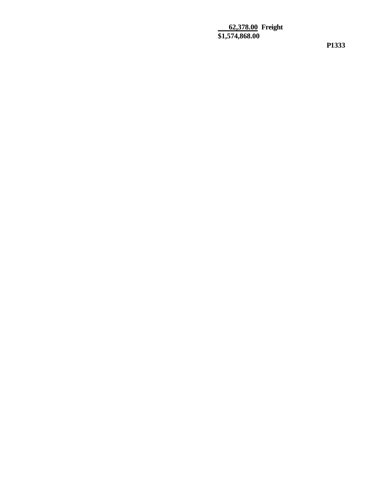**62,378.00 Freight \$1,574,868.00**

**P1333**